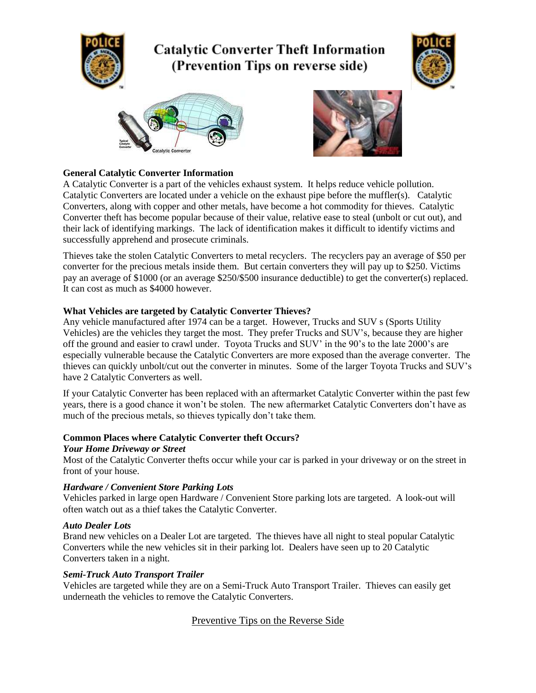

# **General Catalytic Converter Information**

A Catalytic Converter is a part of the vehicles exhaust system. It helps reduce vehicle pollution. Catalytic Converters are located under a vehicle on the exhaust pipe before the muffler(s). Catalytic Converters, along with copper and other metals, have become a hot commodity for thieves. Catalytic Converter theft has become popular because of their value, relative ease to steal (unbolt or cut out), and their lack of identifying markings. The lack of identification makes it difficult to identify victims and successfully apprehend and prosecute criminals.

Thieves take the stolen Catalytic Converters to metal recyclers. The recyclers pay an average of \$50 per converter for the precious metals inside them. But certain converters they will pay up to \$250. Victims pay an average of \$1000 (or an average \$250/\$500 insurance deductible) to get the converter(s) replaced. It can cost as much as \$4000 however.

### **What Vehicles are targeted by Catalytic Converter Thieves?**

Any vehicle manufactured after 1974 can be a target. However, Trucks and SUV s (Sports Utility Vehicles) are the vehicles they target the most. They prefer Trucks and SUV's, because they are higher off the ground and easier to crawl under. Toyota Trucks and SUV' in the 90's to the late 2000's are especially vulnerable because the Catalytic Converters are more exposed than the average converter. The thieves can quickly unbolt/cut out the converter in minutes. Some of the larger Toyota Trucks and SUV's have 2 Catalytic Converters as well.

If your Catalytic Converter has been replaced with an aftermarket Catalytic Converter within the past few years, there is a good chance it won't be stolen. The new aftermarket Catalytic Converters don't have as much of the precious metals, so thieves typically don't take them.

### **Common Places where Catalytic Converter theft Occurs?**

### *Your Home Driveway or Street*

Most of the Catalytic Converter thefts occur while your car is parked in your driveway or on the street in front of your house.

### *Hardware / Convenient Store Parking Lots*

Vehicles parked in large open Hardware / Convenient Store parking lots are targeted. A look-out will often watch out as a thief takes the Catalytic Converter.

### *Auto Dealer Lots*

Brand new vehicles on a Dealer Lot are targeted. The thieves have all night to steal popular Catalytic Converters while the new vehicles sit in their parking lot. Dealers have seen up to 20 Catalytic Converters taken in a night.

### *Semi-Truck Auto Transport Trailer*

Vehicles are targeted while they are on a Semi-Truck Auto Transport Trailer. Thieves can easily get underneath the vehicles to remove the Catalytic Converters.

# Preventive Tips on the Reverse Side